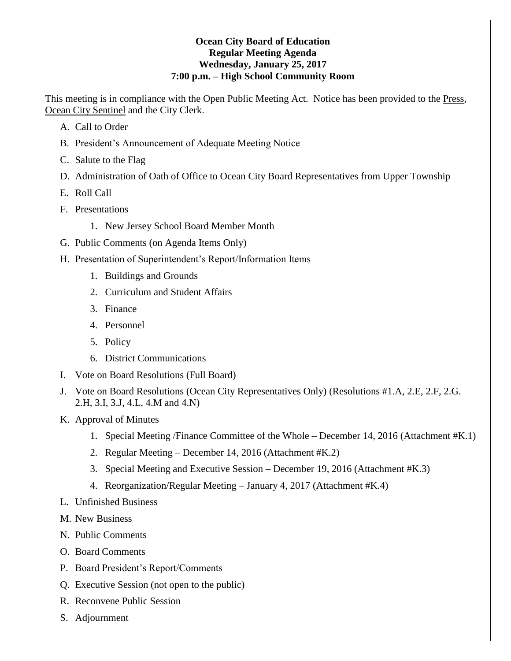### **Ocean City Board of Education Regular Meeting Agenda Wednesday, January 25, 2017 7:00 p.m. – High School Community Room**

This meeting is in compliance with the Open Public Meeting Act. Notice has been provided to the Press, Ocean City Sentinel and the City Clerk.

- A. Call to Order
- B. President's Announcement of Adequate Meeting Notice
- C. Salute to the Flag
- D. Administration of Oath of Office to Ocean City Board Representatives from Upper Township
- E. Roll Call
- F. Presentations
	- 1. New Jersey School Board Member Month
- G. Public Comments (on Agenda Items Only)
- H. Presentation of Superintendent's Report/Information Items
	- 1. Buildings and Grounds
	- 2. Curriculum and Student Affairs
	- 3. Finance
	- 4. Personnel
	- 5. Policy
	- 6. District Communications
- I. Vote on Board Resolutions (Full Board)
- J. Vote on Board Resolutions (Ocean City Representatives Only) (Resolutions #1.A, 2.E, 2.F, 2.G. 2.H, 3.I, 3.J, 4.L, 4.M and 4.N)
- K. Approval of Minutes
	- 1. Special Meeting /Finance Committee of the Whole December 14, 2016 (Attachment #K.1)
	- 2. Regular Meeting December 14, 2016 (Attachment #K.2)
	- 3. Special Meeting and Executive Session December 19, 2016 (Attachment #K.3)
	- 4. Reorganization/Regular Meeting January 4, 2017 (Attachment #K.4)
- L. Unfinished Business
- M. New Business
- N. Public Comments
- O. Board Comments
- P. Board President's Report/Comments
- Q. Executive Session (not open to the public)
- R. Reconvene Public Session
- S. Adjournment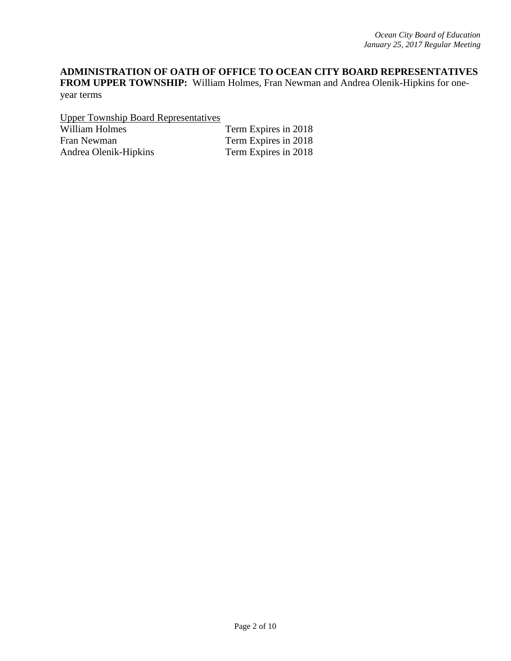# **ADMINISTRATION OF OATH OF OFFICE TO OCEAN CITY BOARD REPRESENTATIVES**

**FROM UPPER TOWNSHIP:** William Holmes, Fran Newman and Andrea Olenik-Hipkins for oneyear terms

Upper Township Board Representatives

William Holmes Term Expires in 2018 Fran Newman Term Expires in 2018<br>Andrea Olenik-Hipkins Term Expires in 2018 Andrea Olenik-Hipkins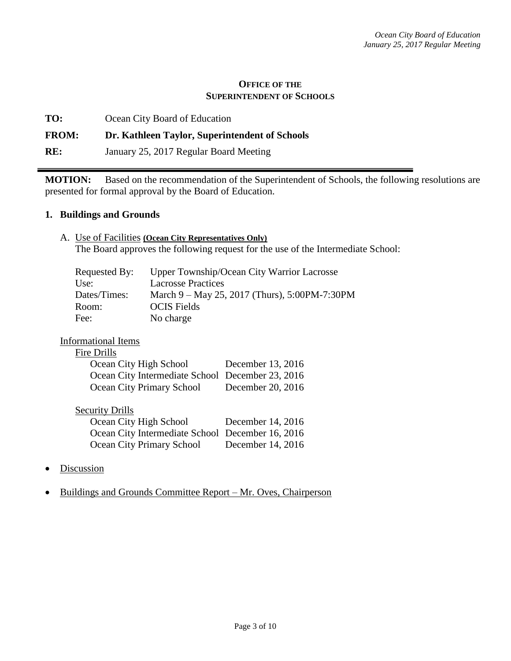#### **OFFICE OF THE SUPERINTENDENT OF SCHOOLS**

**TO:** Ocean City Board of Education

### **FROM: Dr. Kathleen Taylor, Superintendent of Schools**

**RE:** January 25, 2017 Regular Board Meeting

**MOTION:** Based on the recommendation of the Superintendent of Schools, the following resolutions are presented for formal approval by the Board of Education.

#### **1. Buildings and Grounds**

A. Use of Facilities **(Ocean City Representatives Only)** The Board approves the following request for the use of the Intermediate School:

| Requested By: | Upper Township/Ocean City Warrior Lacrosse    |
|---------------|-----------------------------------------------|
| Use:          | <b>Lacrosse Practices</b>                     |
| Dates/Times:  | March 9 – May 25, 2017 (Thurs), 5:00PM-7:30PM |
| Room:         | <b>OCIS</b> Fields                            |
| Fee:          | No charge                                     |

### Informational Items

#### Fire Drills

| Ocean City High School                           | December 13, 2016 |
|--------------------------------------------------|-------------------|
| Ocean City Intermediate School December 23, 2016 |                   |
| Ocean City Primary School                        | December 20, 2016 |

### **Security Drills**

| Ocean City High School                           | December 14, 2016 |
|--------------------------------------------------|-------------------|
| Ocean City Intermediate School December 16, 2016 |                   |
| Ocean City Primary School                        | December 14, 2016 |

- **Discussion**
- Buildings and Grounds Committee Report Mr. Oves, Chairperson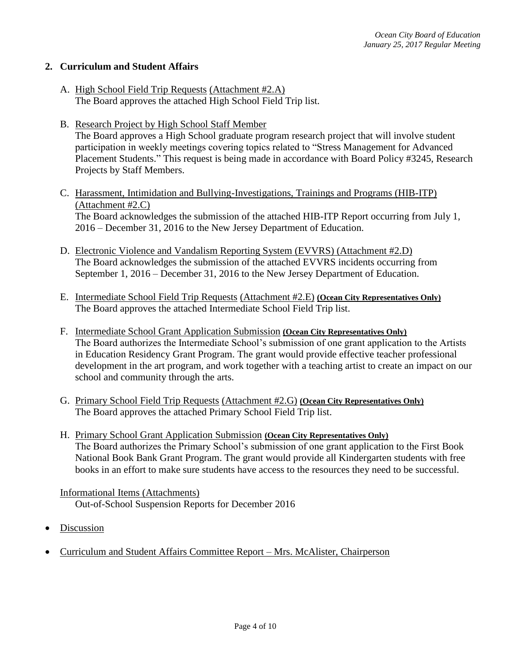### **2. Curriculum and Student Affairs**

- A. High School Field Trip Requests (Attachment #2.A) The Board approves the attached High School Field Trip list.
- B. Research Project by High School Staff Member The Board approves a High School graduate program research project that will involve student participation in weekly meetings covering topics related to "Stress Management for Advanced Placement Students." This request is being made in accordance with Board Policy #3245, Research Projects by Staff Members.
- C. Harassment, Intimidation and Bullying-Investigations, Trainings and Programs (HIB-ITP) (Attachment #2.C) The Board acknowledges the submission of the attached HIB-ITP Report occurring from July 1, 2016 – December 31, 2016 to the New Jersey Department of Education.
- D. Electronic Violence and Vandalism Reporting System (EVVRS) (Attachment #2.D) The Board acknowledges the submission of the attached EVVRS incidents occurring from September 1, 2016 – December 31, 2016 to the New Jersey Department of Education.
- E. Intermediate School Field Trip Requests (Attachment #2.E) **(Ocean City Representatives Only)** The Board approves the attached Intermediate School Field Trip list.
- F. Intermediate School Grant Application Submission **(Ocean City Representatives Only)** The Board authorizes the Intermediate School's submission of one grant application to the Artists in Education Residency Grant Program. The grant would provide effective teacher professional development in the art program, and work together with a teaching artist to create an impact on our school and community through the arts.
- G. Primary School Field Trip Requests (Attachment #2.G) **(Ocean City Representatives Only)** The Board approves the attached Primary School Field Trip list.
- H. Primary School Grant Application Submission **(Ocean City Representatives Only)** The Board authorizes the Primary School's submission of one grant application to the First Book National Book Bank Grant Program. The grant would provide all Kindergarten students with free books in an effort to make sure students have access to the resources they need to be successful.

Informational Items (Attachments) Out-of-School Suspension Reports for December 2016

- Discussion
- Curriculum and Student Affairs Committee Report Mrs. McAlister, Chairperson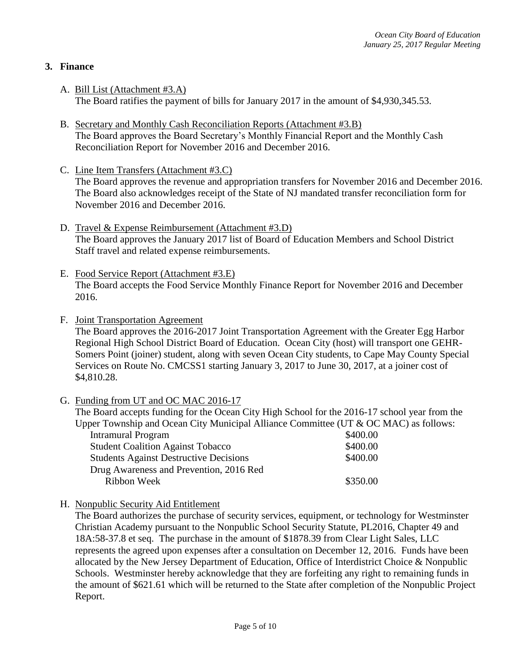# **3. Finance**

- A. Bill List (Attachment #3.A) The Board ratifies the payment of bills for January 2017 in the amount of \$4,930,345.53.
- B. Secretary and Monthly Cash Reconciliation Reports (Attachment #3.B) The Board approves the Board Secretary's Monthly Financial Report and the Monthly Cash Reconciliation Report for November 2016 and December 2016.
- C. Line Item Transfers (Attachment #3.C) The Board approves the revenue and appropriation transfers for November 2016 and December 2016. The Board also acknowledges receipt of the State of NJ mandated transfer reconciliation form for November 2016 and December 2016.
- D. Travel & Expense Reimbursement (Attachment #3.D) The Board approves the January 2017 list of Board of Education Members and School District Staff travel and related expense reimbursements.
- E. Food Service Report (Attachment #3.E) The Board accepts the Food Service Monthly Finance Report for November 2016 and December 2016.
- F. Joint Transportation Agreement

The Board approves the 2016-2017 Joint Transportation Agreement with the Greater Egg Harbor Regional High School District Board of Education. Ocean City (host) will transport one GEHR-Somers Point (joiner) student, along with seven Ocean City students, to Cape May County Special Services on Route No. CMCSS1 starting January 3, 2017 to June 30, 2017, at a joiner cost of \$4,810.28.

G. Funding from UT and OC MAC 2016-17

The Board accepts funding for the Ocean City High School for the 2016-17 school year from the Upper Township and Ocean City Municipal Alliance Committee (UT & OC MAC) as follows:

| <b>Intramural Program</b>                     | \$400.00 |
|-----------------------------------------------|----------|
| <b>Student Coalition Against Tobacco</b>      | \$400.00 |
| <b>Students Against Destructive Decisions</b> | \$400.00 |
| Drug Awareness and Prevention, 2016 Red       |          |
| Ribbon Week                                   | \$350.00 |

H. Nonpublic Security Aid Entitlement

The Board authorizes the purchase of security services, equipment, or technology for Westminster Christian Academy pursuant to the Nonpublic School Security Statute, PL2016, Chapter 49 and 18A:58-37.8 et seq. The purchase in the amount of \$1878.39 from Clear Light Sales, LLC represents the agreed upon expenses after a consultation on December 12, 2016. Funds have been allocated by the New Jersey Department of Education, Office of Interdistrict Choice & Nonpublic Schools. Westminster hereby acknowledge that they are forfeiting any right to remaining funds in the amount of \$621.61 which will be returned to the State after completion of the Nonpublic Project Report.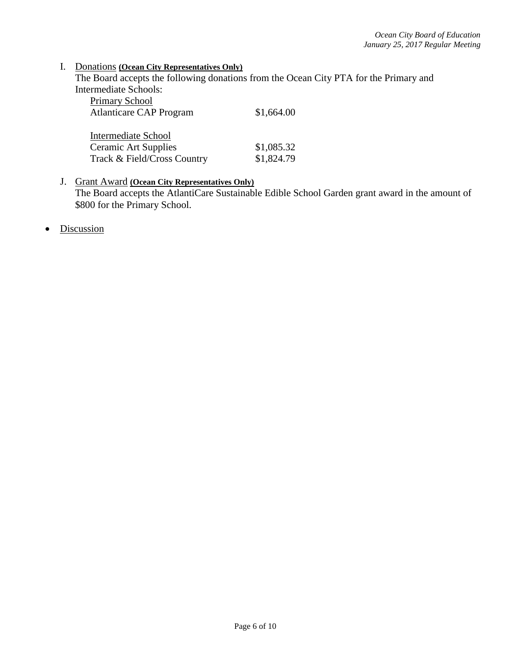#### I. Donations **(Ocean City Representatives Only)**

The Board accepts the following donations from the Ocean City PTA for the Primary and Intermediate Schools:

| Primary School                 |            |
|--------------------------------|------------|
| <b>Atlanticare CAP Program</b> | \$1,664.00 |
|                                |            |
| Intermediate School            |            |
| <b>Ceramic Art Supplies</b>    | \$1,085.32 |
| Track & Field/Cross Country    | \$1,824.79 |

### J. Grant Award **(Ocean City Representatives Only)** The Board accepts the AtlantiCare Sustainable Edible School Garden grant award in the amount of \$800 for the Primary School.

• Discussion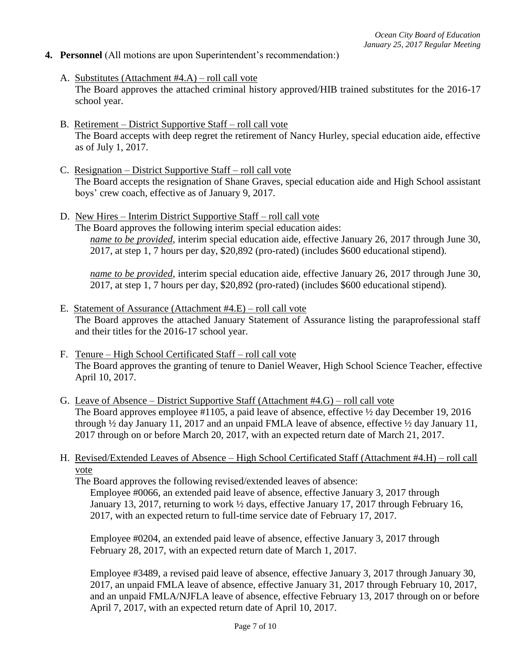### **4. Personnel** (All motions are upon Superintendent's recommendation:)

- A. Substitutes (Attachment #4.A) roll call vote The Board approves the attached criminal history approved/HIB trained substitutes for the 2016-17 school year.
- B. Retirement District Supportive Staff roll call vote The Board accepts with deep regret the retirement of Nancy Hurley, special education aide, effective as of July 1, 2017.
- C. Resignation District Supportive Staff roll call vote The Board accepts the resignation of Shane Graves, special education aide and High School assistant boys' crew coach, effective as of January 9, 2017.
- D. New Hires Interim District Supportive Staff roll call vote The Board approves the following interim special education aides: *name to be provided*, interim special education aide, effective January 26, 2017 through June 30, 2017, at step 1, 7 hours per day, \$20,892 (pro-rated) (includes \$600 educational stipend).

*name to be provided*, interim special education aide, effective January 26, 2017 through June 30, 2017, at step 1, 7 hours per day, \$20,892 (pro-rated) (includes \$600 educational stipend).

- E. Statement of Assurance (Attachment #4.E) roll call vote The Board approves the attached January Statement of Assurance listing the paraprofessional staff and their titles for the 2016-17 school year.
- F. Tenure High School Certificated Staff roll call vote The Board approves the granting of tenure to Daniel Weaver, High School Science Teacher, effective April 10, 2017.
- G. Leave of Absence District Supportive Staff (Attachment #4.G) roll call vote The Board approves employee #1105, a paid leave of absence, effective  $\frac{1}{2}$  day December 19, 2016 through  $\frac{1}{2}$  day January 11, 2017 and an unpaid FMLA leave of absence, effective  $\frac{1}{2}$  day January 11, 2017 through on or before March 20, 2017, with an expected return date of March 21, 2017.

### H. Revised/Extended Leaves of Absence – High School Certificated Staff (Attachment #4.H) – roll call vote

The Board approves the following revised/extended leaves of absence: Employee #0066, an extended paid leave of absence, effective January 3, 2017 through January 13, 2017, returning to work ½ days, effective January 17, 2017 through February 16, 2017, with an expected return to full-time service date of February 17, 2017.

Employee #0204, an extended paid leave of absence, effective January 3, 2017 through February 28, 2017, with an expected return date of March 1, 2017.

Employee #3489, a revised paid leave of absence, effective January 3, 2017 through January 30, 2017, an unpaid FMLA leave of absence, effective January 31, 2017 through February 10, 2017, and an unpaid FMLA/NJFLA leave of absence, effective February 13, 2017 through on or before April 7, 2017, with an expected return date of April 10, 2017.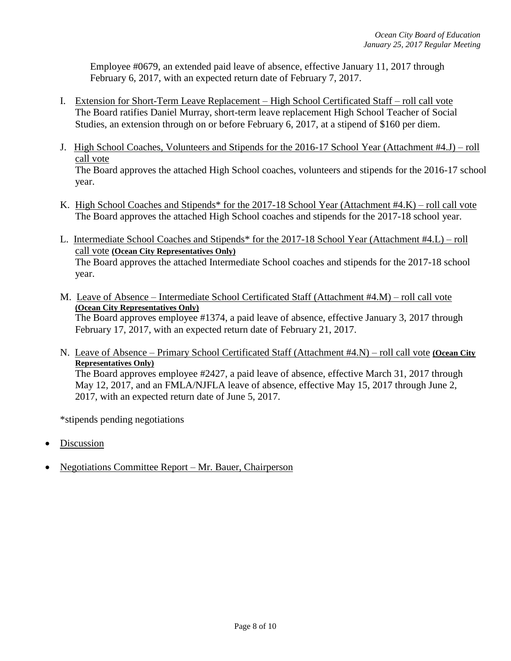Employee #0679, an extended paid leave of absence, effective January 11, 2017 through February 6, 2017, with an expected return date of February 7, 2017.

- I. Extension for Short-Term Leave Replacement High School Certificated Staff roll call vote The Board ratifies Daniel Murray, short-term leave replacement High School Teacher of Social Studies, an extension through on or before February 6, 2017, at a stipend of \$160 per diem.
- J. High School Coaches, Volunteers and Stipends for the 2016-17 School Year (Attachment #4.J) roll call vote The Board approves the attached High School coaches, volunteers and stipends for the 2016-17 school year.
- K. High School Coaches and Stipends\* for the 2017-18 School Year (Attachment #4.K) roll call vote The Board approves the attached High School coaches and stipends for the 2017-18 school year.
- L. Intermediate School Coaches and Stipends\* for the 2017-18 School Year (Attachment #4.L) roll call vote **(Ocean City Representatives Only)** The Board approves the attached Intermediate School coaches and stipends for the 2017-18 school year.
- M. Leave of Absence Intermediate School Certificated Staff (Attachment #4.M) roll call vote **(Ocean City Representatives Only)** The Board approves employee #1374, a paid leave of absence, effective January 3, 2017 through

February 17, 2017, with an expected return date of February 21, 2017.

N. Leave of Absence – Primary School Certificated Staff (Attachment #4.N) – roll call vote **(Ocean City Representatives Only)**

The Board approves employee #2427, a paid leave of absence, effective March 31, 2017 through May 12, 2017, and an FMLA/NJFLA leave of absence, effective May 15, 2017 through June 2, 2017, with an expected return date of June 5, 2017.

\*stipends pending negotiations

- Discussion
- Negotiations Committee Report Mr. Bauer, Chairperson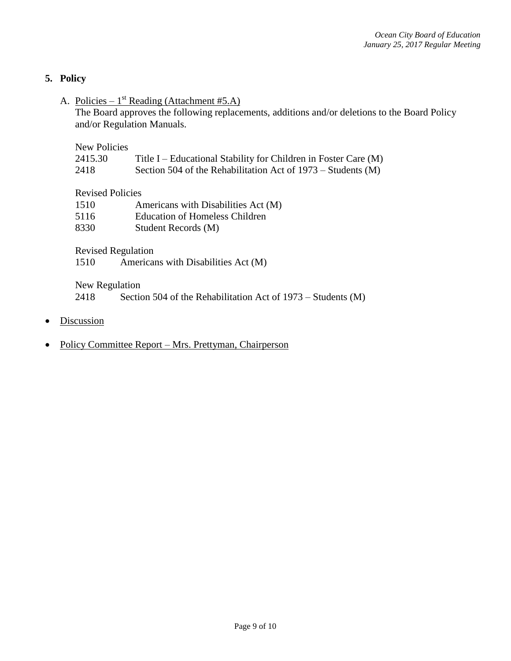# **5. Policy**

A. Policies –  $1^{st}$  Reading (Attachment #5.A)

The Board approves the following replacements, additions and/or deletions to the Board Policy and/or Regulation Manuals.

New Policies

| 2415.30 | Title I – Educational Stability for Children in Foster Care (M) |  |  |  |  |
|---------|-----------------------------------------------------------------|--|--|--|--|
|---------|-----------------------------------------------------------------|--|--|--|--|

2418 Section 504 of the Rehabilitation Act of 1973 – Students (M)

Revised Policies

| 1510 | Americans with Disabilities Act (M) |
|------|-------------------------------------|
| 5116 | Education of Homeless Children      |
| 8330 | Student Records (M)                 |

Revised Regulation

1510 Americans with Disabilities Act (M)

New Regulation

2418 Section 504 of the Rehabilitation Act of 1973 – Students (M)

- **Discussion**
- Policy Committee Report Mrs. Prettyman, Chairperson